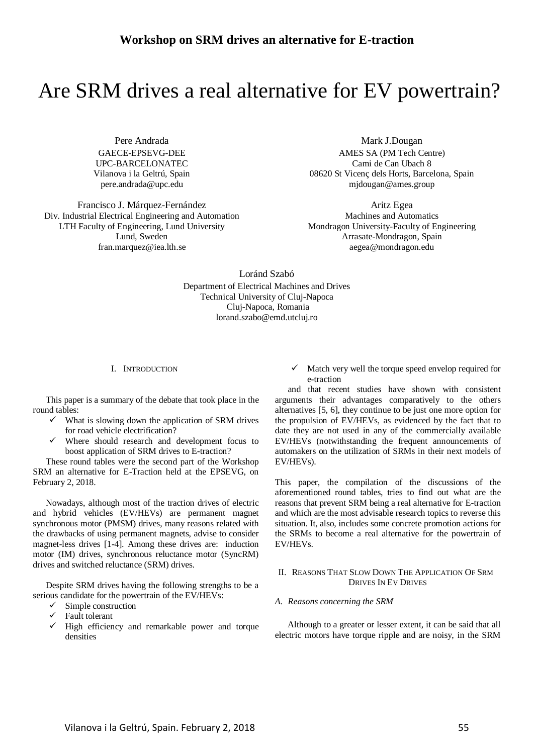# Are SRM drives a real alternative for EV powertrain?

Pere Andrada GAECE-EPSEVG-DEE UPC-BARCELONATEC Vilanova i la Geltrú, Spain pere.andrada@upc.edu

Francisco J. Márquez-Fernández Div. Industrial Electrical Engineering and Automation LTH Faculty of Engineering, Lund University Lund, Sweden fran.marquez@iea.lth.se

Mark J.Dougan AMES SA (PM Tech Centre) Cami de Can Ubach 8 08620 St Vicenç dels Horts, Barcelona, Spain mjdougan@ames.group

Aritz Egea Machines and Automatics Mondragon University-Faculty of Engineering Arrasate-Mondragon, Spain aegea@mondragon.edu

Loránd Szabó Department of Electrical Machines and Drives Technical University of Cluj-Napoca Cluj-Napoca, Romania lorand.szabo@emd.utcluj.ro

## I. INTRODUCTION

This paper is a summary of the debate that took place in the round tables:

- What is slowing down the application of SRM drives for road vehicle electrification?
- Where should research and development focus to boost application of SRM drives to E-traction?

These round tables were the second part of the Workshop SRM an alternative for E-Traction held at the EPSEVG, on February 2, 2018.

Nowadays, although most of the traction drives of electric and hybrid vehicles (EV/HEVs) are permanent magnet synchronous motor (PMSM) drives, many reasons related with the drawbacks of using permanent magnets, advise to consider magnet-less drives [1-4]. Among these drives are: induction motor (IM) drives, synchronous reluctance motor (SyncRM) drives and switched reluctance (SRM) drives.

Despite SRM drives having the following strengths to be a serious candidate for the powertrain of the EV/HEVs:

- $\checkmark$  Simple construction
- $\checkmark$  Fault tolerant
- $\checkmark$  High efficiency and remarkable power and torque densities

 Match very well the torque speed envelop required for e-traction

and that recent studies have shown with consistent arguments their advantages comparatively to the others alternatives [5, 6], they continue to be just one more option for the propulsion of EV/HEVs, as evidenced by the fact that to date they are not used in any of the commercially available EV/HEVs (notwithstanding the frequent announcements of automakers on the utilization of SRMs in their next models of EV/HEVs).

This paper, the compilation of the discussions of the aforementioned round tables, tries to find out what are the reasons that prevent SRM being a real alternative for E-traction and which are the most advisable research topics to reverse this situation. It, also, includes some concrete promotion actions for the SRMs to become a real alternative for the powertrain of EV/HEVs.

## II. REASONS THAT SLOW DOWN THE APPLICATION OF SRM DRIVES IN EV DRIVES

*A. Reasons concerning the SRM* 

Although to a greater or lesser extent, it can be said that all electric motors have torque ripple and are noisy, in the SRM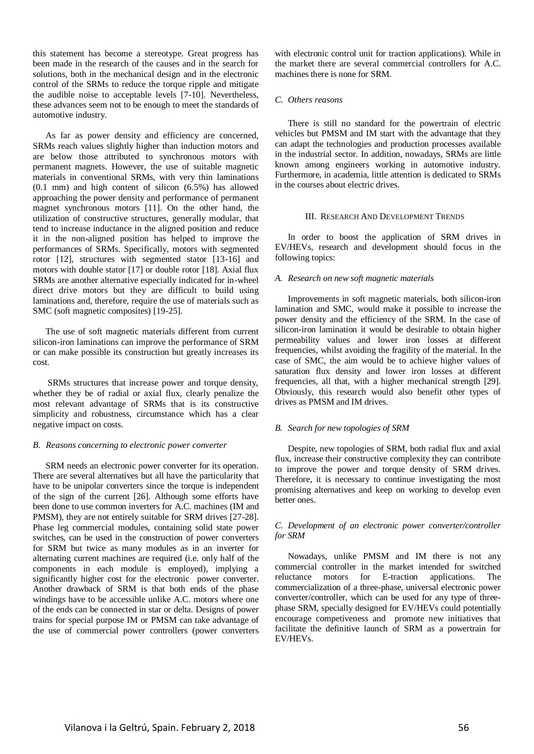this statement has become a stereotype. Great progress has been made in the research of the causes and in the search for solutions, both in the mechanical design and in the electronic control of the SRMs to reduce the torque ripple and mitigate the audible noise to acceptable levels [7-10]. Nevertheless, these advances seem not to be enough to meet the standards of automotive industry.

As far as power density and efficiency are concerned, SRMs reach values slightly higher than induction motors and are below those attributed to synchronous motors with permanent magnets. However, the use of suitable magnetic materials in conventional SRMs, with very thin laminations (0.1 mm) and high content of silicon (6.5%) has allowed approaching the power density and performance of permanent magnet synchronous motors [11]. On the other hand, the utilization of constructive structures, generally modular, that tend to increase inductance in the aligned position and reduce it in the non-aligned position has helped to improve the performances of SRMs. Specifically, motors with segmented rotor [12], structures with segmented stator [13-16] and motors with double stator [17] or double rotor [18]. Axial flux SRMs are another alternative especially indicated for in-wheel direct drive motors but they are difficult to build using laminations and, therefore, require the use of materials such as SMC (soft magnetic composites) [19-25].

The use of soft magnetic materials different from current silicon-iron laminations can improve the performance of SRM or can make possible its construction but greatly increases its cost.

 SRMs structures that increase power and torque density, whether they be of radial or axial flux, clearly penalize the most relevant advantage of SRMs that is its constructive simplicity and robustness, circumstance which has a clear negative impact on costs.

#### *B. Reasons concerning to electronic power converter*

SRM needs an electronic power converter for its operation. There are several alternatives but all have the particularity that have to be unipolar converters since the torque is independent of the sign of the current [26]. Although some efforts have been done to use common inverters for A.C. machines (IM and PMSM), they are not entirely suitable for SRM drives [27-28]. Phase leg commercial modules, containing solid state power switches, can be used in the construction of power converters for SRM but twice as many modules as in an inverter for alternating current machines are required (i.e. only half of the components in each module is employed), implying a significantly higher cost for the electronic power converter. Another drawback of SRM is that both ends of the phase windings have to be accessible unlike A.C. motors where one of the ends can be connected in star or delta. Designs of power trains for special purpose IM or PMSM can take advantage of the use of commercial power controllers (power converters

with electronic control unit for traction applications). While in the market there are several commercial controllers for A.C. machines there is none for SRM.

## *C. Others reasons*

There is still no standard for the powertrain of electric vehicles but PMSM and IM start with the advantage that they can adapt the technologies and production processes available in the industrial sector. In addition, nowadays, SRMs are little known among engineers working in automotive industry. Furthermore, in academia, little attention is dedicated to SRMs in the courses about electric drives.

#### III. RESEARCH AND DEVELOPMENT TRENDS

In order to boost the application of SRM drives in EV/HEVs, research and development should focus in the following topics:

## *A. Research on new soft magnetic materials*

Improvements in soft magnetic materials, both silicon-iron lamination and SMC, would make it possible to increase the power density and the efficiency of the SRM. In the case of silicon-iron lamination it would be desirable to obtain higher permeability values and lower iron losses at different frequencies, whilst avoiding the fragility of the material. In the case of SMC, the aim would be to achieve higher values of saturation flux density and lower iron losses at different frequencies, all that, with a higher mechanical strength [29]. Obviously, this research would also benefit other types of drives as PMSM and IM drives.

#### *B. Search for new topologies of SRM*

Despite, new topologies of SRM, both radial flux and axial flux, increase their constructive complexity they can contribute to improve the power and torque density of SRM drives. Therefore, it is necessary to continue investigating the most promising alternatives and keep on working to develop even better ones.

## *C. Development of an electronic power converter/controller for SRM*

Nowadays, unlike PMSM and IM there is not any commercial controller in the market intended for switched reluctance motors for E-traction applications. The commercialization of a three-phase, universal electronic power converter/controller, which can be used for any type of threephase SRM, specially designed for EV/HEVs could potentially encourage competiveness and promote new initiatives that facilitate the definitive launch of SRM as a powertrain for EV/HEVs.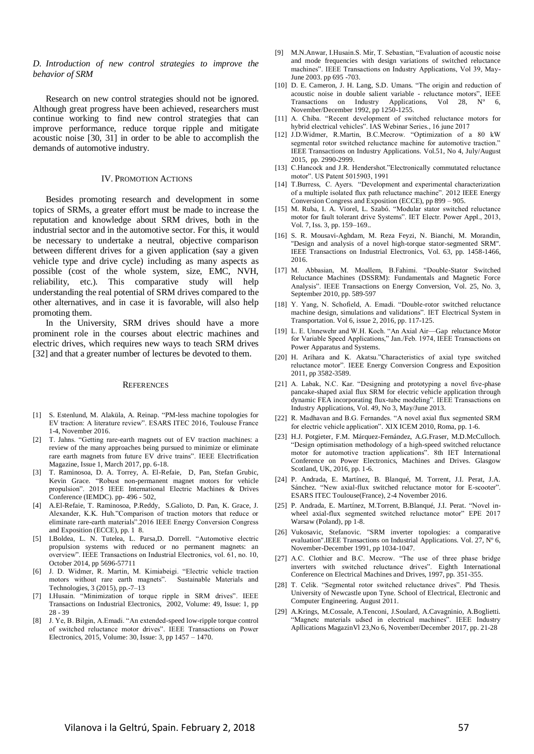*D. Introduction of new control strategies to improve the behavior of SRM* 

Research on new control strategies should not be ignored. Although great progress have been achieved, researchers must continue working to find new control strategies that can improve performance, reduce torque ripple and mitigate acoustic noise [30, 31] in order to be able to accomplish the demands of automotive industry.

#### IV. PROMOTION ACTIONS

Besides promoting research and development in some topics of SRMs, a greater effort must be made to increase the reputation and knowledge about SRM drives, both in the industrial sector and in the automotive sector. For this, it would be necessary to undertake a neutral, objective comparison between different drives for a given application (say a given vehicle type and drive cycle) including as many aspects as possible (cost of the whole system, size, EMC, NVH, reliability, etc.). This comparative study will help understanding the real potential of SRM drives compared to the other alternatives, and in case it is favorable, will also help promoting them.

In the University, SRM drives should have a more prominent role in the courses about electric machines and electric drives, which requires new ways to teach SRM drives [32] and that a greater number of lectures be devoted to them.

#### **REFERENCES**

- [1] S. Estenlund, M. Alaküla, A. Reinap. "PM-less machine topologies for EV traction: A literature review". ESARS ITEC 2016, Toulouse France 1-4, November 2016.
- [2] T. Jahns. "Getting rare-earth magnets out of EV traction machines: a review of the many approaches being pursued to minimize or eliminate rare earth magnets from future EV drive trains". IEEE Electrification Magazine, Issue 1, March 2017, pp. 6-18.
- [3] T. Raminosoa, D. A. Torrey, A. El-Refaie, D, Pan, Stefan Grubic, Kevin Grace. "Robust non-permanent magnet motors for vehicle propulsion". 2015 IEEE International Electric Machines & Drives Conference (IEMDC). pp- 496 - 502,
- [4] A.El-Refaie, T. Raminosoa, P.Reddy, S.Galioto, D. Pan, K. Grace, J. Alexander, K.K. Huh."Comparison of traction motors that reduce or eliminate rare-earth materials".2016 IEEE Energy Conversion Congress and Exposition (ECCE), pp. 1 8.
- [5] I.Boldea, L. N. Tutelea, L. Parsa,D. Dorrell. "Automotive electric propulsion systems with reduced or no permanent magnets: an overview". IEEE Transactions on Industrial Electronics, vol. 61, no. 10, October 2014, pp 5696-57711
- [6] J. D. Widmer, R. Martin, M. Kimiabeigi. "Electric vehicle traction motors without rare earth magnets". Sustainable Materials and Technologies, 3 (2015), pp.-7–13
- [7] I.Husain. "Minimization of torque ripple in SRM drives". IEEE Transactions on Industrial Electronics, 2002, Volume: 49, Issue: 1, pp 28 - 39
- [8] J. Ye, B. Bilgin, A.Emadi. "An extended-speed low-ripple torque control of switched reluctance motor drives". IEEE Transactions on Power Electronics, 2015, Volume: 30, Issue: 3, pp 1457 – 1470.
- [9] M.N.Anwar, I.Husain.S. Mir, T. Sebastian, "Evaluation of acoustic noise and mode frequencies with design variations of switched reluctance machines". IEEE Transactions on Industry Applications, Vol 39, May-June 2003. pp 695 -703.
- [10] D. E. Cameron, J. H. Lang, S.D. Umans. "The origin and reduction of acoustic noise in double salient variable - reluctance motors", IEEE Transactions on Industry Applications, Vol 28, Nº 6, November/December 1992, pp 1250-1255.
- [11] A. Chiba. "Recent development of switched reluctance motors for hybrid electrical vehicles". IAS Webinar Series., 16 june 2017
- [12] J.D.Widmer, R.Martin, B.C.Mecrow. "Optimization of a 80 kW segmental rotor switched reluctance machine for automotive traction." IEEE Transactions on Industry Applications. Vol.51, No 4, July/August 2015, pp. 2990-2999.
- [13] C.Hancock and J.R. Hendershot."Electronically commutated reluctance motor". US Patent 5015903, 1991
- [14] T.Burress, C. Ayers. "Development and experimental characterization of a multiple isolated flux path reluctance machine". 2012 IEEE Energy Conversion Congress and Exposition (ECCE), pp 899 – 905.
- [15] M. Ruba, I. A. Viorel, L. Szabó. "Modular stator switched reluctance motor for fault tolerant drive Systems". IET Electr. Power Appl., 2013, Vol. 7, Iss. 3, pp. 159–169..
- [16] S. R. Mousavi-Aghdam, M. Reza Feyzi, N. Bianchi, M. Morandin, "Design and analysis of a novel high-torque stator-segmented SRM". IEEE Transactions on Industrial Electronics, Vol. 63, pp. 1458-1466, 2016.
- [17] M. Abbasian, M. Moallem, B.Fahimi. "Double-Stator Switched Reluctance Machines (DSSRM): Fundamentals and Magnetic Force Analysis". IEEE Transactions on Energy Conversion, Vol. 25, No. 3, September 2010, pp. 589-597
- [18] Y. Yang, N. Schofield, A. Emadi. "Double-rotor switched reluctance machine design, simulations and validations". IET Electrical System in Transportation. Vol 6, issue 2, 2016, pp. 117-125.
- [19] L. E. Unnewehr and W.H. Koch. "An Axial Air—Gap reluctance Motor for Variable Speed Applications," Jan./Feb. 1974, IEEE Transactions on Power Apparatus and Systems.
- [20] H. Arihara and K. Akatsu."Characteristics of axial type switched reluctance motor". IEEE Energy Conversion Congress and Exposition 2011, pp 3582-3589.
- [21] A. Labak, N.C. Kar. "Designing and prototyping a novel five-phase pancake-shaped axial flux SRM for electric vehicle application through dynamic FEA incorporating flux-tube modeling". IEEE Transactions on Industry Applications, Vol. 49, No 3, May/June 2013.
- [22] R. Madhavan and B.G. Fernandes. "A novel axial flux segmented SRM for electric vehicle application". XIX ICEM 2010, Roma, pp. 1-6.
- [23] H.J. Potgieter, F.M. Márquez-Fernández, A.G.Fraser, M.D.McCulloch. "Design optimisation methodology of a high-speed switched reluctance motor for automotive traction applications". 8th IET International Conference on Power Electronics, Machines and Drives. Glasgow Scotland, UK, 2016, pp. 1-6.
- [24] P. Andrada, E. Martínez, B. Blanqué, M. Torrent, J.I. Perat, J.A. Sánchez. "New axial-flux switched reluctance motor for E-scooter". ESARS ITEC Toulouse(France), 2-4 November 2016.
- [25] P. Andrada, E. Martínez, M.Torrent, B.Blanqué, J.I. Perat. "Novel inwheel axial-flux segmented switched reluctance motor" EPE 2017 Warsaw (Poland), pp 1-8.
- [26] Vukosavic, Stefanovic. "SRM inverter topologies: a comparative evaluation".IEEE Transactions on Industrial Applications. Vol. 27, Nº 6, November-December 1991, pp 1034-1047.
- [27] A.C. Clothier and B.C. Mecrow. "The use of three phase bridge inverters with switched reluctance drives". Eighth International Conference on Electrical Machines and Drives, 1997, pp. 351-355.
- [28] T. Celik. "Segmental rotor switched reluctance drives". Phd Thesis. University of Newcastle upon Tyne. School of Electrical, Electronic and Computer Engineering. August 2011.
- [29] A.Krings, M.Cossale, A.Tenconi, J.Soulard, A.Cavagninio, A.Boglietti. "Magnetc materials udsed in electrical machines". IEEE Industry Apllications MagazinVl 23,No 6, November/December 2017, pp. 21-28